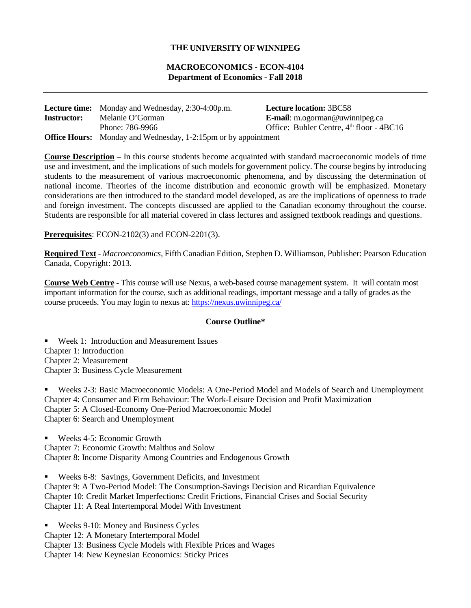# **THE UNIVERSITY OF WINNIPEG**

# **MACROECONOMICS - ECON-4104 Department of Economics - Fall 2018**

|                    | <b>Lecture time:</b> Monday and Wednesday, 2:30-4:00p.m.              | <b>Lecture location: 3BC58</b>               |
|--------------------|-----------------------------------------------------------------------|----------------------------------------------|
| <b>Instructor:</b> | Melanie O'Gorman                                                      | <b>E-mail:</b> m.ogorman@uwinnipeg.ca        |
|                    | Phone: 786-9966                                                       | Office: Buhler Centre, $4th$ floor - $4BC16$ |
|                    | <b>Office Hours:</b> Monday and Wednesday, 1-2:15pm or by appointment |                                              |

**Course Description** – In this course students become acquainted with standard macroeconomic models of time use and investment, and the implications of such models for government policy. The course begins by introducing students to the measurement of various macroeconomic phenomena, and by discussing the determination of national income. Theories of the income distribution and economic growth will be emphasized. Monetary considerations are then introduced to the standard model developed, as are the implications of openness to trade and foreign investment. The concepts discussed are applied to the Canadian economy throughout the course. Students are responsible for all material covered in class lectures and assigned textbook readings and questions.

**Prerequisites**: ECON-2102(3) and ECON-2201(3).

**Required Text** - *Macroeconomics*, Fifth Canadian Edition, Stephen D. Williamson, Publisher: Pearson Education Canada, Copyright: 2013.

**Course Web Centre** - This course will use Nexus, a web-based course management system. It will contain most important information for the course, such as additional readings, important message and a tally of grades as the course proceeds. You may login to nexus at: <https://nexus.uwinnipeg.ca/>

#### **Course Outline\***

■ Week 1: Introduction and Measurement Issues Chapter 1: Introduction Chapter 2: Measurement Chapter 3: Business Cycle Measurement

 Weeks 2-3: Basic Macroeconomic Models: A One-Period Model and Models of Search and Unemployment Chapter 4: Consumer and Firm Behaviour: The Work-Leisure Decision and Profit Maximization Chapter 5: A Closed-Economy One-Period Macroeconomic Model Chapter 6: Search and Unemployment

■ Weeks 4-5: Economic Growth Chapter 7: Economic Growth: Malthus and Solow Chapter 8: Income Disparity Among Countries and Endogenous Growth

 Weeks 6-8: Savings, Government Deficits, and Investment Chapter 9: A Two-Period Model: The Consumption-Savings Decision and Ricardian Equivalence Chapter 10: Credit Market Imperfections: Credit Frictions, Financial Crises and Social Security Chapter 11: A Real Intertemporal Model With Investment

■ Weeks 9-10: Money and Business Cycles Chapter 12: A Monetary Intertemporal Model Chapter 13: Business Cycle Models with Flexible Prices and Wages Chapter 14: New Keynesian Economics: Sticky Prices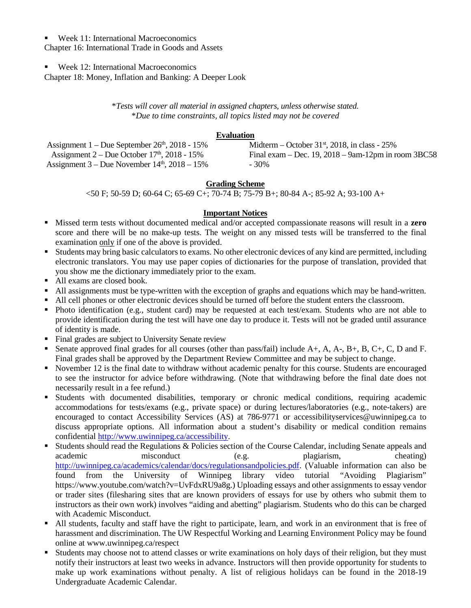# ■ Week 11: International Macroeconomics

Chapter 16: International Trade in Goods and Assets

# **Week 12: International Macroeconomics**

Chapter 18: Money, Inflation and Banking: A Deeper Look

\**Tests will cover all material in assigned chapters, unless otherwise stated.* \**Due to time constraints, all topics listed may not be covered*

### **Evaluation**

| Assignment $1 -$ Due September $26th$ , 2018 - 15%   | Midterm – October 31 <sup>st</sup> , 2018, in class - $25\%$ |
|------------------------------------------------------|--------------------------------------------------------------|
| Assignment $2 - Due October 17th$ , 2018 - 15%       | Final exam – Dec. 19, $2018 - 9$ am-12pm in room 3BC58       |
| Assignment $3 -$ Due November $14th$ , $2018 - 15\%$ | - 30%                                                        |

# **Grading Scheme**

<50 F; 50-59 D; 60-64 C; 65-69 C+; 70-74 B; 75-79 B+; 80-84 A-; 85-92 A; 93-100 A+

# **Important Notices**

- Missed term tests without documented medical and/or accepted compassionate reasons will result in a **zero** score and there will be no make-up tests. The weight on any missed tests will be transferred to the final examination only if one of the above is provided.
- Students may bring basic calculators to exams. No other electronic devices of any kind are permitted, including electronic translators. You may use paper copies of dictionaries for the purpose of translation, provided that you show me the dictionary immediately prior to the exam.
- All exams are closed book.
- All assignments must be type-written with the exception of graphs and equations which may be hand-written.
- All cell phones or other electronic devices should be turned off before the student enters the classroom.
- Photo identification (e.g., student card) may be requested at each test/exam. Students who are not able to provide identification during the test will have one day to produce it. Tests will not be graded until assurance of identity is made.
- Final grades are subject to University Senate review
- Senate approved final grades for all courses (other than pass/fail) include A+, A, A-, B+, B, C+, C, D and F. Final grades shall be approved by the Department Review Committee and may be subject to change.
- November 12 is the final date to withdraw without academic penalty for this course. Students are encouraged to see the instructor for advice before withdrawing. (Note that withdrawing before the final date does not necessarily result in a fee refund.)
- Students with documented disabilities, temporary or chronic medical conditions, requiring academic accommodations for tests/exams (e.g., private space) or during lectures/laboratories (e.g., note-takers) are encouraged to contact Accessibility Services (AS) at 786-9771 or accessibilityservices@uwinnipeg.ca to discuss appropriate options. All information about a student's disability or medical condition remains confidential [http://www.uwinnipeg.ca/accessibility.](http://www.uwinnipeg.ca/accessibility)
- Students should read the Regulations  $&$  Policies section of the Course Calendar, including Senate appeals and academic misconduct (e.g. plagiarism, cheating) [http://uwinnipeg.ca/academics/calendar/docs/regulationsandpolicies.pdf.](http://uwinnipeg.ca/academics/calendar/docs/regulationsandpolicies.pdf) (Valuable information can also be found from the University of Winnipeg library video tutorial "Avoiding Plagiarism" https://www.youtube.com/watch?v=UvFdxRU9a8g.) Uploading essays and other assignments to essay vendor or trader sites (filesharing sites that are known providers of essays for use by others who submit them to instructors as their own work) involves "aiding and abetting" plagiarism. Students who do this can be charged with Academic Misconduct.
- All students, faculty and staff have the right to participate, learn, and work in an environment that is free of harassment and discrimination. The UW Respectful Working and Learning Environment Policy may be found online at www.uwinnipeg.ca/respect
- Students may choose not to attend classes or write examinations on holy days of their religion, but they must notify their instructors at least two weeks in advance. Instructors will then provide opportunity for students to make up work examinations without penalty. A list of religious holidays can be found in the 2018-19 Undergraduate Academic Calendar.